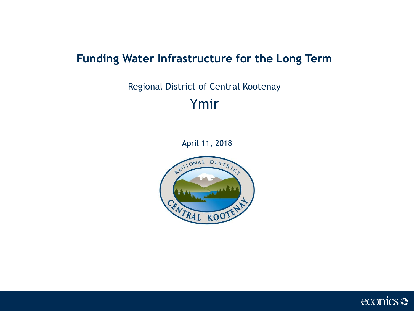### **Funding Water Infrastructure for the Long Term**

# Regional District of Central Kootenay Ymir

April 11, 2018



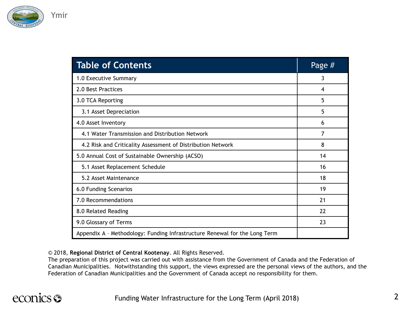

| <b>Table of Contents</b>                                                   | Page $#$ |
|----------------------------------------------------------------------------|----------|
| 1.0 Executive Summary                                                      | 3        |
| 2.0 Best Practices                                                         | 4        |
| 3.0 TCA Reporting                                                          | 5        |
| 3.1 Asset Depreciation                                                     | 5        |
| 4.0 Asset Inventory                                                        | 6        |
| 4.1 Water Transmission and Distribution Network                            | 7        |
| 4.2 Risk and Criticality Assessment of Distribution Network                | 8        |
| 5.0 Annual Cost of Sustainable Ownership (ACSO)                            | 14       |
| 5.1 Asset Replacement Schedule                                             | 16       |
| 5.2 Asset Maintenance                                                      | 18       |
| 6.0 Funding Scenarios                                                      | 19       |
| 7.0 Recommendations                                                        | 21       |
| 8.0 Related Reading                                                        | 22       |
| 9.0 Glossary of Terms                                                      | 23       |
| Appendix A - Methodology: Funding Infrastructure Renewal for the Long Term |          |

© 2018, **Regional District of Central Kootenay**. All Rights Reserved.

The preparation of this project was carried out with assistance from the Government of Canada and the Federation of Canadian Municipalities. Notwithstanding this support, the views expressed are the personal views of the authors, and the Federation of Canadian Municipalities and the Government of Canada accept no responsibility for them.

### econics <del>S</del>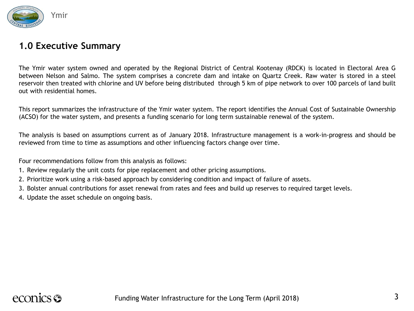

#### **1.0 Executive Summary**

The Ymir water system owned and operated by the Regional District of Central Kootenay (RDCK) is located in Electoral Area G between Nelson and Salmo. The system comprises a concrete dam and intake on Quartz Creek. Raw water is stored in a steel reservoir then treated with chlorine and UV before being distributed through 5 km of pipe network to over 100 parcels of land built out with residential homes.

This report summarizes the infrastructure of the Ymir water system. The report identifies the Annual Cost of Sustainable Ownership (ACSO) for the water system, and presents a funding scenario for long term sustainable renewal of the system.

The analysis is based on assumptions current as of January 2018. Infrastructure management is a work-in-progress and should be reviewed from time to time as assumptions and other influencing factors change over time.

Four recommendations follow from this analysis as follows:

- 1. Review regularly the unit costs for pipe replacement and other pricing assumptions.
- 2. Prioritize work using a risk-based approach by considering condition and impact of failure of assets.
- 3. Bolster annual contributions for asset renewal from rates and fees and build up reserves to required target levels.
- 4. Update the asset schedule on ongoing basis.

## econics S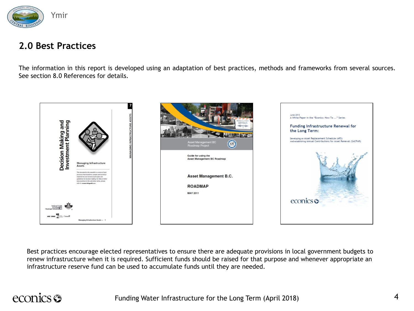

#### **2.0 Best Practices**

The information in this report is developed using an adaptation of best practices, methods and frameworks from several sources. See section 8.0 References for details.



Best practices encourage elected representatives to ensure there are adequate provisions in local government budgets to renew infrastructure when it is required. Sufficient funds should be raised for that purpose and whenever appropriate an infrastructure reserve fund can be used to accumulate funds until they are needed.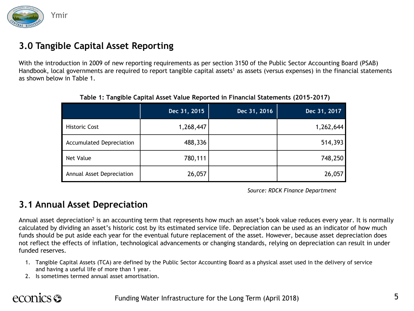

### **3.0 Tangible Capital Asset Reporting**

With the introduction in 2009 of new reporting requirements as per section 3150 of the Public Sector Accounting Board (PSAB) Handbook, local governments are required to report tangible capital assets<sup>1</sup> as assets (versus expenses) in the financial statements as shown below in Table 1.

|                                 | Dec 31, 2015 | Dec 31, 2016 | Dec 31, 2017 |
|---------------------------------|--------------|--------------|--------------|
| <b>Historic Cost</b>            | 1,268,447    |              | 1,262,644    |
| <b>Accumulated Depreciation</b> | 488,336      |              | 514,393      |
| Net Value                       | 780,111      |              | 748,250      |
| Annual Asset Depreciation       | 26,057       |              | 26,057       |

**Table 1: Tangible Capital Asset Value Reported in Financial Statements (2015-2017)**

*Source: RDCK Finance Department*

#### **3.1 Annual Asset Depreciation**

Annual asset depreciation<sup>2</sup> is an accounting term that represents how much an asset's book value reduces every year. It is normally calculated by dividing an asset's historic cost by its estimated service life. Depreciation can be used as an indicator of how much funds should be put aside each year for the eventual future replacement of the asset. However, because asset depreciation does not reflect the effects of inflation, technological advancements or changing standards, relying on depreciation can result in under funded reserves.

- 1. Tangible Capital Assets (TCA) are defined by the Public Sector Accounting Board as a physical asset used in the delivery of service and having a useful life of more than 1 year.
- 2. Is sometimes termed annual asset amortisation.

### econics S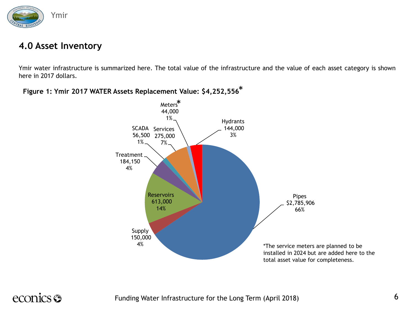

#### **4.0 Asset Inventory**

Ymir water infrastructure is summarized here. The total value of the infrastructure and the value of each asset category is shown here in 2017 dollars.



#### **Figure 1: Ymir 2017 WATER Assets Replacement Value: \$4,252,556** \*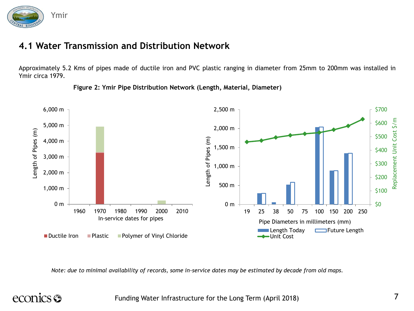

### **4.1 Water Transmission and Distribution Network**

Approximately 5.2 Kms of pipes made of ductile iron and PVC plastic ranging in diameter from 25mm to 200mm was installed in Ymir circa 1979.



**Figure 2: Ymir Pipe Distribution Network (Length, Material, Diameter)**

*Note: due to minimal availability of records, some in-service dates may be estimated by decade from old maps.* 

## econics <del>S</del>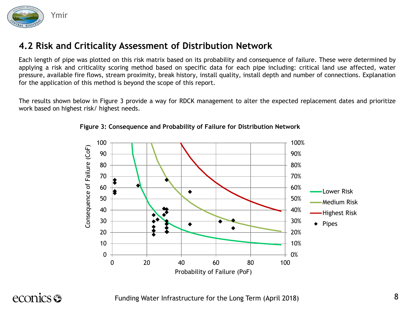

Each length of pipe was plotted on this risk matrix based on its probability and consequence of failure. These were determined by applying a risk and criticality scoring method based on specific data for each pipe including: critical land use affected, water pressure, available fire flows, stream proximity, break history, install quality, install depth and number of connections. Explanation for the application of this method is beyond the scope of this report.

The results shown below in Figure 3 provide a way for RDCK management to alter the expected replacement dates and prioritize work based on highest risk/ highest needs.



**Figure 3: Consequence and Probability of Failure for Distribution Network**

econics <del>S</del>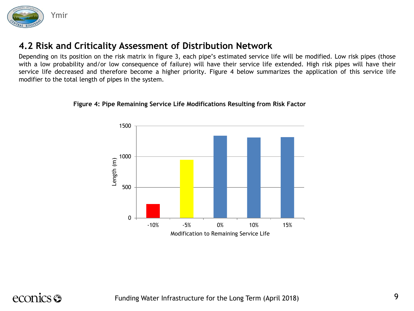

Depending on its position on the risk matrix in figure 3, each pipe's estimated service life will be modified. Low risk pipes (those with a low probability and/or low consequence of failure) will have their service life extended. High risk pipes will have their service life decreased and therefore become a higher priority. Figure 4 below summarizes the application of this service life modifier to the total length of pipes in the system.

#### **Figure 4: Pipe Remaining Service Life Modifications Resulting from Risk Factor**



### econics **S**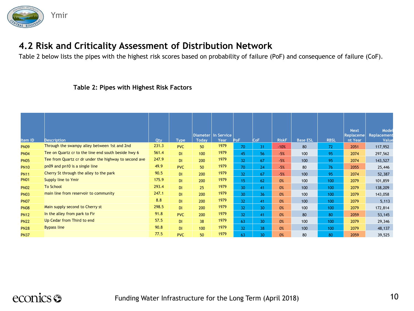

Table 2 below lists the pipes with the highest risk scores based on probability of failure (PoF) and consequence of failure (CoF).

#### **Table 2: Pipes with Highest Risk Factors**

| Item ID     | <b>Description</b>                                    | Qty   | <b>Type</b> | <b>Today</b> | Diameter   In Service<br>Year | PoF             | CoF             | <b>RiskF</b> | <b>Base ESL</b> | <b>RBSL</b> | <b>Next</b><br><b>Replaceme</b><br>nt Year | Model<br>Replacement<br>Value |
|-------------|-------------------------------------------------------|-------|-------------|--------------|-------------------------------|-----------------|-----------------|--------------|-----------------|-------------|--------------------------------------------|-------------------------------|
| <b>PN09</b> | Through the swampy alley between 1st and 2nd          | 231.3 | <b>PVC</b>  | 50           | 1979                          | 70              | 31              | $-10%$       | 80              | 72          | 2051                                       | 117,952                       |
| <b>PN04</b> | Tee on Quartz cr to the line end south beside hwy 6   | 561.4 | <b>DI</b>   | 100          | 1979                          | 45              | 56              | $-5%$        | 100             | 95          | 2074                                       | 297,562                       |
| <b>PN05</b> | Tee from Quartz cr dr under the highway to second ave | 247.9 | <b>DI</b>   | 200          | 1979                          | 32              | 67              | $-5%$        | 100             | 95          | 2074                                       | 143,527                       |
| <b>PN10</b> | pn09 and pn10 is a single line                        | 49.9  | <b>PVC</b>  | 50           | 1979                          | 70              | 24              | $-5%$        | 80              | 76          | 2055                                       | 25,446                        |
| <b>PN11</b> | Cherry St through the alley to the park               | 90.5  | DI          | 200          | 1979                          | 32              | 67              | $-5%$        | 100             | 95          | 2074                                       | 52,387                        |
| <b>PN01</b> | Supply line to Ymir                                   | 175.9 | DI.         | 200          | 1979                          | 15              | 62              | 0%           | 100             | 100         | 2079                                       | 101,859                       |
| <b>PN02</b> | <b>To School</b>                                      | 293.4 | DI.         | 25           | 1979                          | 30 <sup>°</sup> | 41              | 0%           | 100             | 100         | 2079                                       | 138,209                       |
| <b>PN03</b> | main line from reservoir to community                 | 247.1 | DI          | 200          | 1979                          | 30 <sup>°</sup> | 36              | 0%           | 100             | 100         | 2079                                       | 143,058                       |
| <b>PN07</b> |                                                       | 8.8   | <b>DI</b>   | 200          | 1979                          | 32              | 41              | 0%           | 100             | 100         | 2079                                       | 5,113                         |
| <b>PN08</b> | Main supply second to Cherry st                       | 298.5 | <b>DI</b>   | 200          | 1979                          | 32              | 30 <sup>°</sup> | 0%           | 100             | 100         | 2079                                       | 172,814                       |
| <b>PN12</b> | In the alley from park to Fir                         | 91.8  | <b>PVC</b>  | 200          | 1979                          | 32              | 41              | 0%           | 80              | 80          | 2059                                       | 53,145                        |
| <b>PN22</b> | Up Cedar from Third to end                            | 57.5  | DI          | 38           | 1979                          | 63              | 30              | 0%           | 100             | 100         | 2079                                       | 29,346                        |
| <b>PN28</b> | <b>Bypass line</b>                                    | 90.8  | <b>DI</b>   | 100          | 1979                          | 32              | 38              | 0%           | 100             | 100         | 2079                                       | 48,137                        |
| <b>PN37</b> |                                                       | 77.5  | <b>PVC</b>  | 50           | 1979                          | 63              | 30              | 0%           | 80              | 80          | 2059                                       | 39,525                        |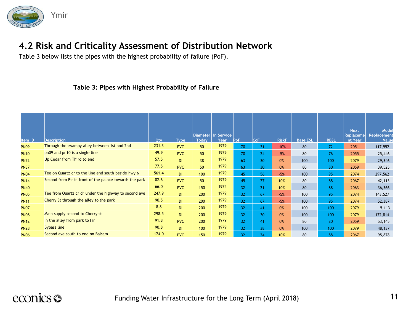

Table 3 below lists the pipes with the highest probability of failure (PoF).

#### **Table 3: Pipes with Highest Probability of Failure**

| Item ID     | <b>Description</b>                                      | Qty   | <b>Type</b> | <b>Today</b> | Diameter In Service<br>Year | PoF | CoF | <b>RiskF</b> | <b>Base ESL</b> | <b>RBSL</b> | <b>Next</b><br><b>Replaceme</b><br>nt Year | Model<br>Replacement<br>Value |
|-------------|---------------------------------------------------------|-------|-------------|--------------|-----------------------------|-----|-----|--------------|-----------------|-------------|--------------------------------------------|-------------------------------|
| <b>PN09</b> | Through the swampy alley between 1st and 2nd            | 231.3 | <b>PVC</b>  | 50           | 1979                        | 70  | 31  | $-10%$       | 80              | 72          | 2051                                       | 117,952                       |
| <b>PN10</b> | pn09 and pn10 is a single line                          | 49.9  | <b>PVC</b>  | 50           | 1979                        | 70  | 24  | $-5%$        | 80              | 76          | 2055                                       | 25,446                        |
| <b>PN22</b> | Up Cedar from Third to end                              | 57.5  | <b>DI</b>   | 38           | 1979                        | 63  | 30  | 0%           | 100             | 100         | 2079                                       | 29,346                        |
| <b>PN37</b> |                                                         | 77.5  | <b>PVC</b>  | 50           | 1979                        | 63  | 30  | 0%           | 80              | 80          | 2059                                       | 39,525                        |
| <b>PN04</b> | Tee on Quartz cr to the line end south beside hwy 6     | 561.4 | DI          | 100          | 1979                        | 45  | 56  | $-5%$        | 100             | 95          | 2074                                       | 297,562                       |
| <b>PN14</b> | Second from Fir in front of the palace towards the park | 82.6  | <b>PVC</b>  | 50           | 1979                        | 45  | 27  | 10%          | 80              | 88          | 2067                                       | 42,113                        |
| <b>PN40</b> |                                                         | 66.0  | <b>PVC</b>  | 150          | 1975                        | 32  | 21  | 10%          | 80              | 88          | 2063                                       | 36,366                        |
| <b>PN05</b> | Tee from Quartz cr dr under the highway to second ave   | 247.9 | DI          | 200          | 1979                        | 32  | 67  | $-5%$        | 100             | 95          | 2074                                       | 143,527                       |
| <b>PN11</b> | Cherry St through the alley to the park                 | 90.5  | <b>DI</b>   | 200          | 1979                        | 32  | 67  | $-5%$        | 100             | 95          | 2074                                       | 52,387                        |
| <b>PN07</b> |                                                         | 8.8   | <b>DI</b>   | 200          | 1979                        | 32  | 41  | 0%           | 100             | 100         | 2079                                       | 5,113                         |
| <b>PN08</b> | Main supply second to Cherry st                         | 298.5 | <b>DI</b>   | 200          | 1979                        | 32  | 30  | 0%           | 100             | 100         | 2079                                       | 172,814                       |
| <b>PN12</b> | In the alley from park to Fir                           | 91.8  | <b>PVC</b>  | 200          | 1979                        | 32  | 41  | 0%           | 80              | 80          | 2059                                       | 53,145                        |
| <b>PN28</b> | <b>Bypass line</b>                                      | 90.8  | <b>DI</b>   | 100          | 1979                        | 32  | 38  | 0%           | 100             | 100         | 2079                                       | 48,137                        |
| <b>PN06</b> | Second ave south to end on Balsam                       | 174.0 | <b>PVC</b>  | 150          | 1979                        | 32  | 24  | 10%          | 80              | 88          | 2067                                       | 95,878                        |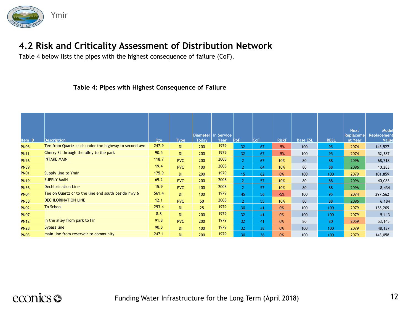

Table 4 below lists the pipes with the highest consequence of failure (CoF).

#### **Table 4: Pipes with Highest Consequence of Failure**

| Item ID     | <b>Description</b>                                    | Qty   | <b>Type</b> | <b>Today</b> | Diameter   In Service<br>Year | <b>PoF</b>      | <b>CoF</b> | <b>RiskF</b> | <b>Base ESL</b> | <b>RBSL</b> | <b>Next</b><br>Replaceme<br>nt Year | Model<br>Replacement<br>Value |
|-------------|-------------------------------------------------------|-------|-------------|--------------|-------------------------------|-----------------|------------|--------------|-----------------|-------------|-------------------------------------|-------------------------------|
| <b>PN05</b> | Tee from Quartz cr dr under the highway to second ave | 247.9 | DI          | 200          | 1979                          | 32              | 67         | $-5%$        | 100             | 95          | 2074                                | 143,527                       |
| <b>PN11</b> | Cherry St through the alley to the park               | 90.5  | <b>DI</b>   | 200          | 1979                          | 32              | 67         | $-5%$        | 100             | 95          | 2074                                | 52,387                        |
| <b>PN26</b> | <b>INTAKE MAIN</b>                                    | 118.7 | <b>PVC</b>  | 200          | 2008                          | $\overline{2}$  | 67         | 10%          | 80              | 88          | 2096                                | 68,718                        |
| <b>PN39</b> |                                                       | 19.4  | <b>PVC</b>  | 100          | 2008                          | $\overline{2}$  | 64         | 10%          | 80              | 88          | 2096                                | 10,283                        |
| <b>PN01</b> | Supply line to Ymir                                   | 175.9 | DI          | 200          | 1979                          | 15              | 62         | 0%           | 100             | 100         | 2079                                | 101,859                       |
| <b>PN19</b> | <b>SUPPLY MAIN</b>                                    | 69.2  | <b>PVC</b>  | 200          | 2008                          | $\overline{2}$  | 57         | 10%          | 80              | 88          | 2096                                | 40,083                        |
| <b>PN36</b> | <b>Dechlorination Line</b>                            | 15.9  | <b>PVC</b>  | 100          | 2008                          | $\overline{2}$  | 57         | 10%          | 80              | 88          | 2096                                | 8,434                         |
| <b>PN04</b> | Tee on Quartz cr to the line end south beside hwy 6   | 561.4 | <b>DI</b>   | 100          | 1979                          | 45              | 56         | $-5%$        | 100             | 95          | 2074                                | 297,562                       |
| <b>PN38</b> | <b>DECHLORINATION LINE</b>                            | 12.1  | <b>PVC</b>  | 50           | 2008                          | $\overline{2}$  | 55         | 10%          | 80              | 88          | 2096                                | 6,184                         |
| <b>PN02</b> | <b>To School</b>                                      | 293.4 | DI          | 25           | 1979                          | 30 <sup>°</sup> | 41         | 0%           | 100             | 100         | 2079                                | 138,209                       |
| <b>PN07</b> |                                                       | 8.8   | <b>DI</b>   | 200          | 1979                          | 32              | 41         | 0%           | 100             | 100         | 2079                                | 5,113                         |
| <b>PN12</b> | In the alley from park to Fir                         | 91.8  | <b>PVC</b>  | 200          | 1979                          | 32              | 41         | 0%           | 80              | 80          | 2059                                | 53,145                        |
| <b>PN28</b> | <b>Bypass line</b>                                    | 90.8  | DI          | 100          | 1979                          | 32              | 38         | 0%           | 100             | 100         | 2079                                | 48,137                        |
| <b>PN03</b> | main line from reservoir to community                 | 247.1 | DI          | 200          | 1979                          | 30              | 36         | 0%           | 100             | 100         | 2079                                | 143,058                       |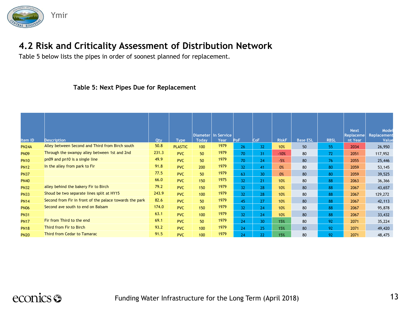

Table 5 below lists the pipes in order of soonest planned for replacement.

#### **Table 5: Next Pipes Due for Replacement**

| Item ID      | <b>Description</b>                                      | Qty   | <b>Type</b>    | <b>Today</b> | Diameter   In Service<br>Year | PoF | CoF | <b>RiskF</b> | <b>Base ESL</b> | <b>RBSL</b> | <b>Next</b><br>Replaceme<br>nt Year | Model<br>Replacement<br>Value |
|--------------|---------------------------------------------------------|-------|----------------|--------------|-------------------------------|-----|-----|--------------|-----------------|-------------|-------------------------------------|-------------------------------|
| <b>PN24A</b> | Alley between Second and Third from Birch south         | 50.8  | <b>PLASTIC</b> | 100          | 1979                          | 26  | 32  | 10%          | 50              | 55          | 2034                                | 26,950                        |
| <b>PN09</b>  | Through the swampy alley between 1st and 2nd            | 231.3 | <b>PVC</b>     | 50           | 1979                          | 70  | 31  | $-10%$       | 80              | 72          | 2051                                | 117,952                       |
| <b>PN10</b>  | pn09 and pn10 is a single line                          | 49.9  | <b>PVC</b>     | 50           | 1979                          | 70  | 24  | $-5%$        | 80              | 76          | 2055                                | 25,446                        |
| <b>PN12</b>  | In the alley from park to Fir                           | 91.8  | <b>PVC</b>     | 200          | 1979                          | 32  | 41  | 0%           | 80              | 80          | 2059                                | 53,145                        |
| <b>PN37</b>  |                                                         | 77.5  | <b>PVC</b>     | 50           | 1979                          | 63  | 30  | 0%           | 80              | 80          | 2059                                | 39,525                        |
| <b>PN40</b>  |                                                         | 66.0  | <b>PVC</b>     | 150          | 1975                          | 32  | 21  | 10%          | 80              | 88          | 2063                                | 36,366                        |
| <b>PN32</b>  | alley behind the bakery Fir to Birch                    | 79.2  | <b>PVC</b>     | 150          | 1979                          | 32  | 28  | 10%          | 80              | 88          | 2067                                | 43,657                        |
| <b>PN33</b>  | Shoud be two separate lines split at HY15               | 243.9 | <b>PVC</b>     | 100          | 1979                          | 32  | 28  | 10%          | 80              | 88          | 2067                                | 129,272                       |
| <b>PN14</b>  | Second from Fir in front of the palace towards the park | 82.6  | <b>PVC</b>     | 50           | 1979                          | 45  | 27  | 10%          | 80              | 88          | 2067                                | 42,113                        |
| <b>PN06</b>  | Second ave south to end on Balsam                       | 174.0 | <b>PVC</b>     | 150          | 1979                          | 32  | 24  | 10%          | 80              | 88          | 2067                                | 95,878                        |
| <b>PN31</b>  |                                                         | 63.1  | <b>PVC</b>     | 100          | 1979                          | 32  | 24  | 10%          | 80              | 88          | 2067                                | 33,432                        |
| <b>PN17</b>  | Fir from Third to the end                               | 69.1  | <b>PVC</b>     | 50           | 1979                          | 24  | 30  | 15%          | 80              | 92          | 2071                                | 35,224                        |
| <b>PN18</b>  | Third from Fir to Birch                                 | 93.2  | <b>PVC</b>     | 100          | 1979                          | 24  | 25  | 15%          | 80              | 92          | 2071                                | 49,420                        |
| <b>PN20</b>  | Third from Cedar to Tamarac                             | 91.5  | <b>PVC</b>     | 100          | 1979                          | 24  | 22  | 15%          | 80              | 92          | 2071                                | 48,475                        |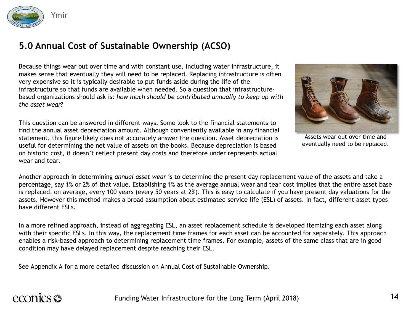

### **5.0 Annual Cost of Sustainable Ownership (ACSO)**

Because things wear out over time and with constant use, including water infrastructure, it makes sense that eventually they will need to be replaced. Replacing infrastructure is often very expensive so it is typically desirable to put funds aside during the life of the infrastructure so that funds are available when needed. So a question that infrastructurebased organizations should ask is: *how much should be contributed annually to keep up with the asset wear*?

This question can be answered in different ways. Some look to the financial statements to find the annual asset depreciation amount. Although conveniently available in any financial statement, this figure likely does not accurately answer the question. Asset depreciation is useful for determining the net value of assets on the books. Because depreciation is based on historic cost, it doesn't reflect present day costs and therefore under represents actual wear and tear.



Assets wear out over time and eventually need to be replaced.

Another approach in determining *annual asset wear* is to determine the present day replacement value of the assets and take a percentage, say 1% or 2% of that value. Establishing 1% as the average annual wear and tear cost implies that the entire asset base is replaced, on average, every 100 years (every 50 years at 2%). This is easy to calculate if you have present day valuations for the assets. However this method makes a broad assumption about estimated service life (ESL) of assets. In fact, different asset types have different ESLs.

In a more refined approach, instead of aggregating ESL, an asset replacement schedule is developed itemizing each asset along with their specific ESLs. In this way, the replacement time frames for each asset can be accounted for separately. This approach enables a risk-based approach to determining replacement time frames. For example, assets of the same class that are in good condition may have delayed replacement despite reaching their ESL.

See Appendix A for a more detailed discussion on Annual Cost of Sustainable Ownership.

## econics <del>S</del>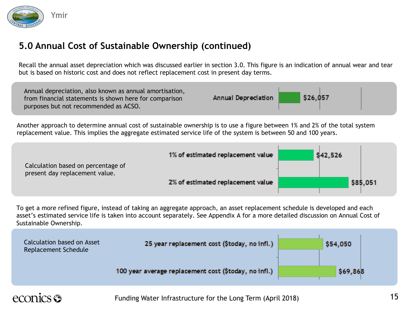

### **5.0 Annual Cost of Sustainable Ownership (continued)**

Recall the annual asset depreciation which was discussed earlier in section 3.0. This figure is an indication of annual wear and tear but is based on historic cost and does not reflect replacement cost in present day terms.

| Annual depreciation, also known as annual amortisation,<br>from financial statements is shown here for comparison<br>purposes but not recommended as ACSO. | Annual Depreciation | \$26,057 |  |
|------------------------------------------------------------------------------------------------------------------------------------------------------------|---------------------|----------|--|
|------------------------------------------------------------------------------------------------------------------------------------------------------------|---------------------|----------|--|

Another approach to determine annual cost of sustainable ownership is to use a figure between 1% and 2% of the total system replacement value. This implies the aggregate estimated service life of the system is between 50 and 100 years.

| Calculation based on percentage of | 1% of estimated replacement value | \$42,526 |
|------------------------------------|-----------------------------------|----------|
| present day replacement value.     | 2% of estimated replacement value | \$85,051 |
|                                    |                                   |          |

To get a more refined figure, instead of taking an aggregate approach, an asset replacement schedule is developed and each asset's estimated service life is taken into account separately. See Appendix A for a more detailed discussion on Annual Cost of Sustainable Ownership.

| Calculation based on Asset<br>Replacement Schedule | 25 year replacement cost (\$today, no infl.)          | \$54,050 |
|----------------------------------------------------|-------------------------------------------------------|----------|
|                                                    | 100 year average replacement cost (\$today, no infl.) | \$69,868 |

## econics **es**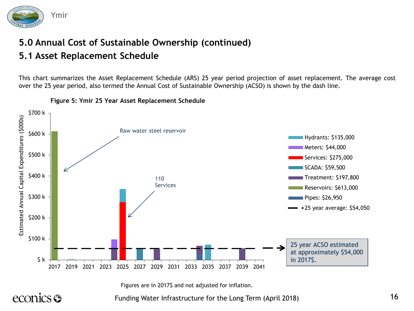

### **5.0 Annual Cost of Sustainable Ownership (continued) 5.1 Asset Replacement Schedule**

This chart summarizes the Asset Replacement Schedule (ARS) 25 year period projection of asset replacement. The average cost over the 25 year period, also termed the Annual Cost of Sustainable Ownership (ACSO) is shown by the dash line.



#### **Figure 5: Ymir 25 Year Asset Replacement Schedule**

Figures are in 2017\$ and not adjusted for inflation.

econics <del>S</del>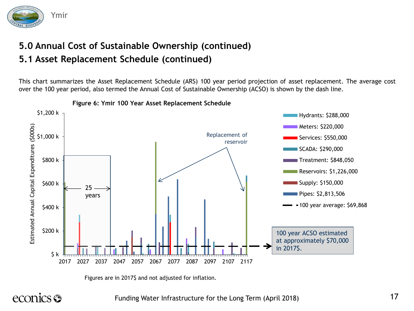

### **5.0 Annual Cost of Sustainable Ownership (continued) 5.1 Asset Replacement Schedule (continued)**

This chart summarizes the Asset Replacement Schedule (ARS) 100 year period projection of asset replacement. The average cost over the 100 year period, also termed the Annual Cost of Sustainable Ownership (ACSO) is shown by the dash line.



**Figure 6: Ymir 100 Year Asset Replacement Schedule**

Figures are in 2017\$ and not adjusted for inflation.

econics <del>S</del>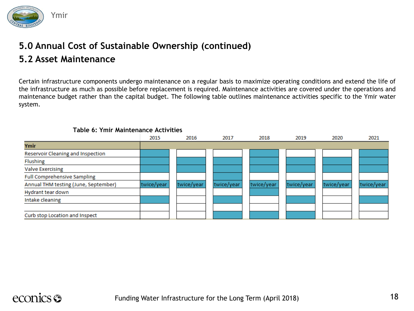

### **5.0 Annual Cost of Sustainable Ownership (continued) 5.2 Asset Maintenance**

Certain infrastructure components undergo maintenance on a regular basis to maximize operating conditions and extend the life of the infrastructure as much as possible before replacement is required. Maintenance activities are covered under the operations and maintenance budget rather than the capital budget. The following table outlines maintenance activities specific to the Ymir water system.

#### 2015 2016 2017 2018 2019 2020 2021 Ymir Reservoir Cleaning and Inspection Flushing **Valve Exercising Full Comprehensive Sampling** Annual THM testing (June, September) twice/year twice/year twice/year twice/year twice/year twice/year twice/year Hydrant tear down Intake cleaning Curb stop Location and Inspect

#### **Table 6: Ymir Maintenance Activities**

### econics **S**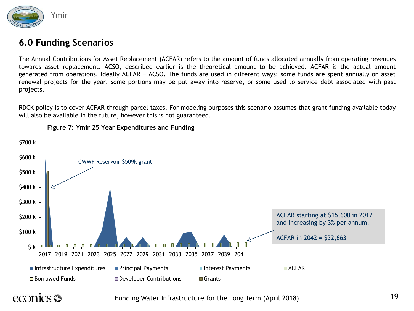

#### **6.0 Funding Scenarios**

The Annual Contributions for Asset Replacement (ACFAR) refers to the amount of funds allocated annually from operating revenues towards asset replacement. ACSO, described earlier is the theoretical amount to be achieved. ACFAR is the actual amount generated from operations. Ideally ACFAR = ACSO. The funds are used in different ways: some funds are spent annually on asset renewal projects for the year, some portions may be put away into reserve, or some used to service debt associated with past projects.

RDCK policy is to cover ACFAR through parcel taxes. For modeling purposes this scenario assumes that grant funding available today will also be available in the future, however this is not guaranteed.



**Figure 7: Ymir 25 Year Expenditures and Funding**

### econics **es**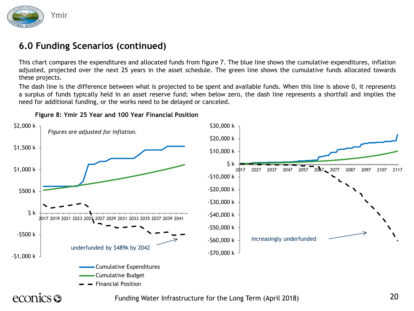

### **6.0 Funding Scenarios (continued)**

This chart compares the expenditures and allocated funds from figure 7. The blue line shows the cumulative expenditures, inflation adjusted, projected over the next 25 years in the asset schedule. The green line shows the cumulative funds allocated towards these projects.

The dash line is the difference between what is projected to be spent and available funds. When this line is above 0, it represents a surplus of funds typically held in an asset reserve fund; when below zero, the dash line represents a shortfall and implies the need for additional funding, or the works need to be delayed or canceled.



**Figure 8: Ymir 25 Year and 100 Year Financial Position**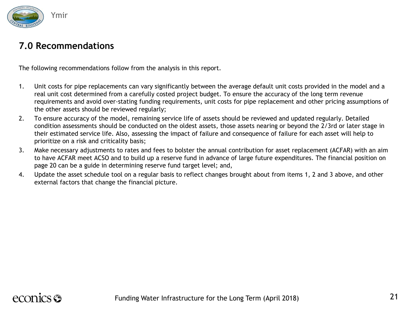

#### **7.0 Recommendations**

The following recommendations follow from the analysis in this report.

- 1. Unit costs for pipe replacements can vary significantly between the average default unit costs provided in the model and a real unit cost determined from a carefully costed project budget. To ensure the accuracy of the long term revenue requirements and avoid over-stating funding requirements, unit costs for pipe replacement and other pricing assumptions of the other assets should be reviewed regularly;
- 2. To ensure accuracy of the model, remaining service life of assets should be reviewed and updated regularly. Detailed condition assessments should be conducted on the oldest assets, those assets nearing or beyond the 2/3rd or later stage in their estimated service life. Also, assessing the impact of failure and consequence of failure for each asset will help to prioritize on a risk and criticality basis;
- 3. Make necessary adjustments to rates and fees to bolster the annual contribution for asset replacement (ACFAR) with an aim to have ACFAR meet ACSO and to build up a reserve fund in advance of large future expenditures. The financial position on page 20 can be a guide in determining reserve fund target level; and,
- 4. Update the asset schedule tool on a regular basis to reflect changes brought about from items 1, 2 and 3 above, and other external factors that change the financial picture.

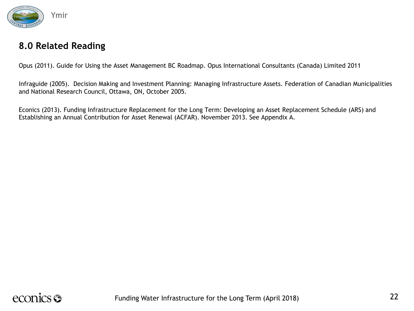

#### **8.0 Related Reading**

Opus (2011). Guide for Using the Asset Management BC Roadmap. Opus International Consultants (Canada) Limited 2011

Infraguide (2005). Decision Making and Investment Planning: Managing Infrastructure Assets. Federation of Canadian Municipalities and National Research Council, Ottawa, ON, October 2005.

Econics (2013). Funding Infrastructure Replacement for the Long Term: Developing an Asset Replacement Schedule (ARS) and Establishing an Annual Contribution for Asset Renewal (ACFAR). November 2013. See Appendix A.

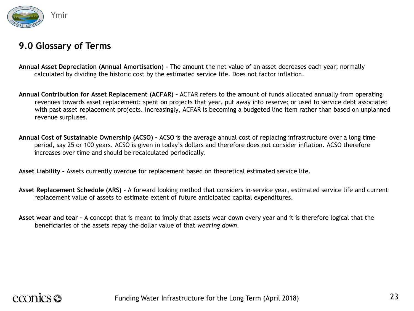

### **9.0 Glossary of Terms**

- **Annual Asset Depreciation (Annual Amortisation) -** The amount the net value of an asset decreases each year; normally calculated by dividing the historic cost by the estimated service life. Does not factor inflation.
- **Annual Contribution for Asset Replacement (ACFAR) –** ACFAR refers to the amount of funds allocated annually from operating revenues towards asset replacement: spent on projects that year, put away into reserve; or used to service debt associated with past asset replacement projects. Increasingly, ACFAR is becoming a budgeted line item rather than based on unplanned revenue surpluses.
- **Annual Cost of Sustainable Ownership (ACSO) –** ACSO is the average annual cost of replacing infrastructure over a long time period, say 25 or 100 years. ACSO is given in today's dollars and therefore does not consider inflation. ACSO therefore increases over time and should be recalculated periodically.

**Asset Liability –** Assets currently overdue for replacement based on theoretical estimated service life.

- **Asset Replacement Schedule (ARS) -** A forward looking method that considers in-service year, estimated service life and current replacement value of assets to estimate extent of future anticipated capital expenditures.
- **Asset wear and tear –** A concept that is meant to imply that assets wear down every year and it is therefore logical that the beneficiaries of the assets repay the dollar value of that *wearing down*.